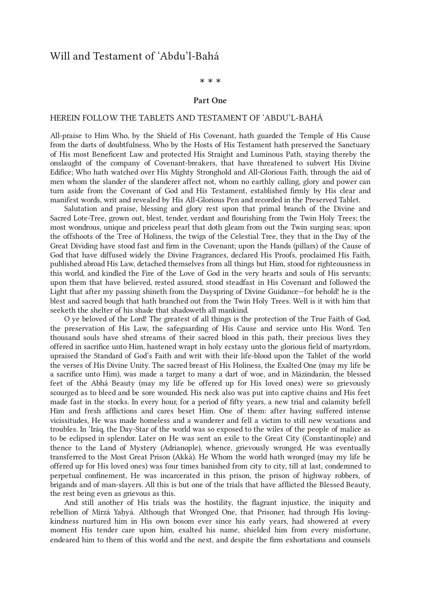# Will and Testament of 'Abdu'l‑Bahá

## \* \* \*

## Part One

## HEREIN FOLLOW THE TABLETS AND TESTAMENT OF 'ABDU'L-BAHÁ

All-praise to Him Who, by the Shield of His Covenant, hath guarded the Temple of His Cause from the darts of doubtfulness, Who by the Hosts of His Testament hath preserved the Sanctuary of His most Beneficent Law and protected His Straight and Luminous Path, staying thereby the onslaught of the company of Covenant-breakers, that have threatened to subvert His Divine Edifice; Who hath watched over His Mighty Stronghold and All-Glorious Faith, through the aid of men whom the slander of the slanderer affect not, whom no earthly calling, glory and power can turn aside from the Covenant of God and His Testament, established firmly by His clear and manifest words, writ and revealed by His All-Glorious Pen and recorded in the Preserved Tablet.

Salutation and praise, blessing and glory rest upon that primal branch of the Divine and Sacred Lote-Tree, grown out, blest, tender, verdant and flourishing from the Twin Holy Trees; the most wondrous, unique and priceless pearl that doth gleam from out the Twin surging seas; upon the offshoots of the Tree of Holiness, the twigs of the Celestial Tree, they that in the Day of the Great Dividing have stood fast and firm in the Covenant; upon the Hands (pillars) of the Cause of God that have diffused widely the Divine Fragrances, declared His Proofs, proclaimed His Faith, published abroad His Law, detached themselves from all things but Him, stood for righteousness in this world, and kindled the Fire of the Love of God in the very hearts and souls of His servants; upon them that have believed, rested assured, stood steadfast in His Covenant and followed the Light that after my passing shineth from the Dayspring of Divine Guidance—for behold! he is the blest and sacred bough that hath branched out from the Twin Holy Trees. Well is it with him that seeketh the shelter of his shade that shadoweth all mankind.

O ye beloved of the Lord! The greatest of all things is the protection of the True Faith of God, the preservation of His Law, the safeguarding of His Cause and service unto His Word. Ten thousand souls have shed streams of their sacred blood in this path, their precious lives they offered in sacrifice unto Him, hastened wrapt in holy ecstasy unto the glorious field of martyrdom, upraised the Standard of God's Faith and writ with their life-blood upon the Tablet of the world the verses of His Divine Unity. The sacred breast of His Holiness, the Exalted One (may my life be a sacrifice unto Him), was made a target to many a dart of woe, and in Mázindarán, the blessed feet of the Abhá Beauty (may my life be offered up for His loved ones) were so grievously scourged as to bleed and be sore wounded. His neck also was put into captive chains and His feet made fast in the stocks. In every hour, for a period of fifty years, a new trial and calamity befell Him and fresh afflictions and cares beset Him. One of them: after having suffered intense vicissitudes, He was made homeless and a wanderer and fell a victim to still new vexations and troubles. In 'Iráq, the Day-Star of the world was so exposed to the wiles of the people of malice as to be eclipsed in splendor. Later on He was sent an exile to the Great City (Constantinople) and thence to the Land of Mystery (Adrianople), whence, grievously wronged, He was eventually transferred to the Most Great Prison (Akká). He Whom the world hath wronged (may my life be offered up for His loved ones) was four times banished from city to city, till at last, condemned to perpetual confinement, He was incarcerated in this prison, the prison of highway robbers, of brigands and of man-slayers. All this is but one of the trials that have afflicted the Blessed Beauty, the rest being even as grievous as this.

And still another of His trials was the hostility, the flagrant injustice, the iniquity and rebellion of Mírzá Yaḥyá. Although that Wronged One, that Prisoner, had through His lovingkindness nurtured him in His own bosom ever since his early years, had showered at every moment His tender care upon him, exalted his name, shielded him from every misfortune, endeared him to them of this world and the next, and despite the firm exhortations and counsels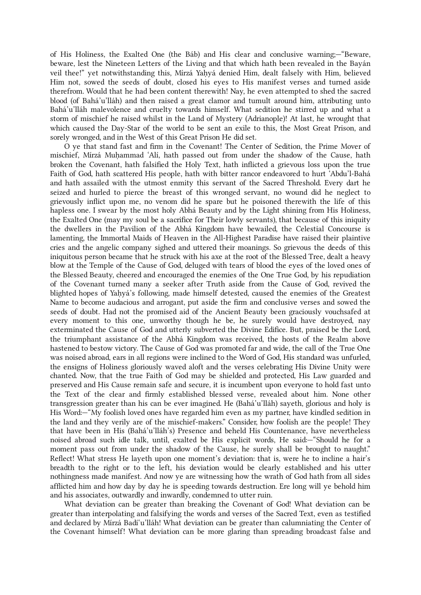of His Holiness, the Exalted One (the Báb) and His clear and conclusive warning;—"Beware, beware, lest the Nineteen Letters of the Living and that which hath been revealed in the Bayán veil thee!" yet notwithstanding this, Mírzá Yaḥyá denied Him, dealt falsely with Him, believed Him not, sowed the seeds of doubt, closed his eyes to His manifest verses and turned aside therefrom. Would that he had been content therewith! Nay, he even attempted to shed the sacred blood (of Bahá'u'lláh) and then raised a great clamor and tumult around him, attributing unto Bahá'u'lláh malevolence and cruelty towards himself. What sedition he stirred up and what a storm of mischief he raised whilst in the Land of Mystery (Adrianople)! At last, he wrought that which caused the Day-Star of the world to be sent an exile to this, the Most Great Prison, and sorely wronged, and in the West of this Great Prison He did set.

O ye that stand fast and firm in the Covenant! The Center of Sedition, the Prime Mover of mischief, Mírzá Muhammad 'Alí, hath passed out from under the shadow of the Cause, hath broken the Covenant, hath falsified the Holy Text, hath inflicted a grievous loss upon the true Faith of God, hath scattered His people, hath with bitter rancor endeavored to hurt 'Abdu'l-Bahá and hath assailed with the utmost enmity this servant of the Sacred Threshold. Every dart he seized and hurled to pierce the breast of this wronged servant, no wound did he neglect to grievously inflict upon me, no venom did he spare but he poisoned therewith the life of this hapless one. I swear by the most holy Abhá Beauty and by the Light shining from His Holiness, the Exalted One (may my soul be a sacrifice for Their lowly servants), that because of this iniquity the dwellers in the Pavilion of the Abhá Kingdom have bewailed, the Celestial Concourse is lamenting, the Immortal Maids of Heaven in the All-Highest Paradise have raised their plaintive cries and the angelic company sighed and uttered their moanings. So grievous the deeds of this iniquitous person became that he struck with his axe at the root of the Blessed Tree, dealt a heavy blow at the Temple of the Cause of God, deluged with tears of blood the eyes of the loved ones of the Blessed Beauty, cheered and encouraged the enemies of the One True God, by his repudiation of the Covenant turned many a seeker after Truth aside from the Cause of God, revived the blighted hopes of Yahyá's following, made himself detested, caused the enemies of the Greatest Name to become audacious and arrogant, put aside the firm and conclusive verses and sowed the seeds of doubt. Had not the promised aid of the Ancient Beauty been graciously vouchsafed at every moment to this one, unworthy though he be, he surely would have destroyed, nay exterminated the Cause of God and utterly subverted the Divine Edifice. But, praised be the Lord, the triumphant assistance of the Abhá Kingdom was received, the hosts of the Realm above hastened to bestow victory. The Cause of God was promoted far and wide, the call of the True One was noised abroad, ears in all regions were inclined to the Word of God, His standard was unfurled, the ensigns of Holiness gloriously waved aloft and the verses celebrating His Divine Unity were chanted. Now, that the true Faith of God may be shielded and protected, His Law guarded and preserved and His Cause remain safe and secure, it is incumbent upon everyone to hold fast unto the Text of the clear and firmly established blessed verse, revealed about him. None other transgression greater than his can be ever imagined. He (Bahá'u'lláh) sayeth, glorious and holy is His Word:—"My foolish loved ones have regarded him even as my partner, have kindled sedition in the land and they verily are of the mischief-makers." Consider, how foolish are the people! They that have been in His (Bahá'u'lláh's) Presence and beheld His Countenance, have nevertheless noised abroad such idle talk, until, exalted be His explicit words, He said:—"Should he for a moment pass out from under the shadow of the Cause, he surely shall be brought to naught." Reflect! What stress He layeth upon one moment's deviation: that is, were he to incline a hair's breadth to the right or to the left, his deviation would be clearly established and his utter nothingness made manifest. And now ye are witnessing how the wrath of God hath from all sides afflicted him and how day by day he is speeding towards destruction. Ere long will ye behold him and his associates, outwardly and inwardly, condemned to utter ruin.

What deviation can be greater than breaking the Covenant of God! What deviation can be greater than interpolating and falsifying the words and verses of the Sacred Text, even as testified and declared by Mírzá Badí'u'lláh! What deviation can be greater than calumniating the Center of the Covenant himself! What deviation can be more glaring than spreading broadcast false and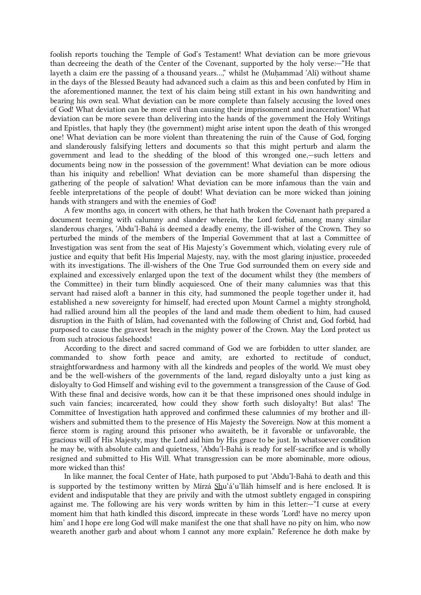foolish reports touching the Temple of God's Testament! What deviation can be more grievous than decreeing the death of the Center of the Covenant, supported by the holy verse:—"He that layeth a claim ere the passing of a thousand years…," whilst he (Muḥammad 'Alí) without shame in the days of the Blessed Beauty had advanced such a claim as this and been confuted by Him in the aforementioned manner, the text of his claim being still extant in his own handwriting and bearing his own seal. What deviation can be more complete than falsely accusing the loved ones of God! What deviation can be more evil than causing their imprisonment and incarceration! What deviation can be more severe than delivering into the hands of the government the Holy Writings and Epistles, that haply they (the government) might arise intent upon the death of this wronged one! What deviation can be more violent than threatening the ruin of the Cause of God, forging and slanderously falsifying letters and documents so that this might perturb and alarm the government and lead to the shedding of the blood of this wronged one,—such letters and documents being now in the possession of the government! What deviation can be more odious than his iniquity and rebellion! What deviation can be more shameful than dispersing the gathering of the people of salvation! What deviation can be more infamous than the vain and feeble interpretations of the people of doubt! What deviation can be more wicked than joining hands with strangers and with the enemies of God!

A few months ago, in concert with others, he that hath broken the Covenant hath prepared a document teeming with calumny and slander wherein, the Lord forbid, among many similar slanderous charges, 'Abdu'l-Bahá is deemed a deadly enemy, the ill-wisher of the Crown. They so perturbed the minds of the members of the Imperial Government that at last a Committee of Investigation was sent from the seat of His Majesty's Government which, violating every rule of justice and equity that befit His Imperial Majesty, nay, with the most glaring injustice, proceeded with its investigations. The ill-wishers of the One True God surrounded them on every side and explained and excessively enlarged upon the text of the document whilst they (the members of the Committee) in their turn blindly acquiesced. One of their many calumnies was that this servant had raised aloft a banner in this city, had summoned the people together under it, had established a new sovereignty for himself, had erected upon Mount Carmel a mighty stronghold, had rallied around him all the peoples of the land and made them obedient to him, had caused disruption in the Faith of Islám, had covenanted with the following of Christ and, God forbid, had purposed to cause the gravest breach in the mighty power of the Crown. May the Lord protect us from such atrocious falsehoods!

According to the direct and sacred command of God we are forbidden to utter slander, are commanded to show forth peace and amity, are exhorted to rectitude of conduct, straightforwardness and harmony with all the kindreds and peoples of the world. We must obey and be the well-wishers of the governments of the land, regard disloyalty unto a just king as disloyalty to God Himself and wishing evil to the government a transgression of the Cause of God. With these final and decisive words, how can it be that these imprisoned ones should indulge in such vain fancies; incarcerated, how could they show forth such disloyalty! But alas! The Committee of Investigation hath approved and confirmed these calumnies of my brother and illwishers and submitted them to the presence of His Majesty the Sovereign. Now at this moment a fierce storm is raging around this prisoner who awaiteth, be it favorable or unfavorable, the gracious will of His Majesty, may the Lord aid him by His grace to be just. In whatsoever condition he may be, with absolute calm and quietness, 'Abdu'l-Bahá is ready for self-sacrifice and is wholly resigned and submitted to His Will. What transgression can be more abominable, more odious, more wicked than this!

In like manner, the focal Center of Hate, hath purposed to put 'Abdu'l-Bahá to death and this is supported by the testimony written by Mírzá Shu'á'u'lláh himself and is here enclosed. It is evident and indisputable that they are privily and with the utmost subtlety engaged in conspiring against me. The following are his very words written by him in this letter:—"I curse at every moment him that hath kindled this discord, imprecate in these words 'Lord! have no mercy upon him' and I hope ere long God will make manifest the one that shall have no pity on him, who now weareth another garb and about whom I cannot any more explain." Reference he doth make by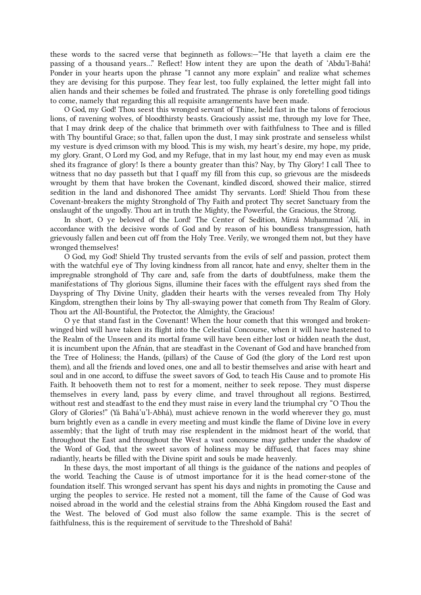these words to the sacred verse that beginneth as follows:—"He that layeth a claim ere the passing of a thousand years..." Reflect! How intent they are upon the death of 'Abdu'l-Bahá! Ponder in your hearts upon the phrase "I cannot any more explain" and realize what schemes they are devising for this purpose. They fear lest, too fully explained, the letter might fall into alien hands and their schemes be foiled and frustrated. The phrase is only foretelling good tidings to come, namely that regarding this all requisite arrangements have been made.

O God, my God! Thou seest this wronged servant of Thine, held fast in the talons of ferocious lions, of ravening wolves, of bloodthirsty beasts. Graciously assist me, through my love for Thee, that I may drink deep of the chalice that brimmeth over with faithfulness to Thee and is filled with Thy bountiful Grace; so that, fallen upon the dust, I may sink prostrate and senseless whilst my vesture is dyed crimson with my blood. This is my wish, my heart's desire, my hope, my pride, my glory. Grant, O Lord my God, and my Refuge, that in my last hour, my end may even as musk shed its fragrance of glory! Is there a bounty greater than this? Nay, by Thy Glory! I call Thee to witness that no day passeth but that I quaff my fill from this cup, so grievous are the misdeeds wrought by them that have broken the Covenant, kindled discord, showed their malice, stirred sedition in the land and dishonored Thee amidst Thy servants. Lord! Shield Thou from these Covenant-breakers the mighty Stronghold of Thy Faith and protect Thy secret Sanctuary from the onslaught of the ungodly. Thou art in truth the Mighty, the Powerful, the Gracious, the Strong.

In short, O ye beloved of the Lord! The Center of Sedition, Mírzá Muḥammad 'Alí, in accordance with the decisive words of God and by reason of his boundless transgression, hath grievously fallen and been cut off from the Holy Tree. Verily, we wronged them not, but they have wronged themselves!

O God, my God! Shield Thy trusted servants from the evils of self and passion, protect them with the watchful eye of Thy loving kindness from all rancor, hate and envy, shelter them in the impregnable stronghold of Thy care and, safe from the darts of doubtfulness, make them the manifestations of Thy glorious Signs, illumine their faces with the effulgent rays shed from the Dayspring of Thy Divine Unity, gladden their hearts with the verses revealed from Thy Holy Kingdom, strengthen their loins by Thy all-swaying power that cometh from Thy Realm of Glory. Thou art the All-Bountiful, the Protector, the Almighty, the Gracious!

O ye that stand fast in the Covenant! When the hour cometh that this wronged and brokenwinged bird will have taken its flight into the Celestial Concourse, when it will have hastened to the Realm of the Unseen and its mortal frame will have been either lost or hidden neath the dust, it is incumbent upon the Afnán, that are steadfast in the Covenant of God and have branched from the Tree of Holiness; the Hands, (pillars) of the Cause of God (the glory of the Lord rest upon them), and all the friends and loved ones, one and all to bestir themselves and arise with heart and soul and in one accord, to diffuse the sweet savors of God, to teach His Cause and to promote His Faith. It behooveth them not to rest for a moment, neither to seek repose. They must disperse themselves in every land, pass by every clime, and travel throughout all regions. Bestirred, without rest and steadfast to the end they must raise in every land the triumphal cry "O Thou the Glory of Glories!" (Yá Bahá'u'l-Abhá), must achieve renown in the world wherever they go, must burn brightly even as a candle in every meeting and must kindle the flame of Divine love in every assembly; that the light of truth may rise resplendent in the midmost heart of the world, that throughout the East and throughout the West a vast concourse may gather under the shadow of the Word of God, that the sweet savors of holiness may be diffused, that faces may shine radiantly, hearts be filled with the Divine spirit and souls be made heavenly.

In these days, the most important of all things is the guidance of the nations and peoples of the world. Teaching the Cause is of utmost importance for it is the head corner-stone of the foundation itself. This wronged servant has spent his days and nights in promoting the Cause and urging the peoples to service. He rested not a moment, till the fame of the Cause of God was noised abroad in the world and the celestial strains from the Abhá Kingdom roused the East and the West. The beloved of God must also follow the same example. This is the secret of faithfulness, this is the requirement of servitude to the Threshold of Bahá!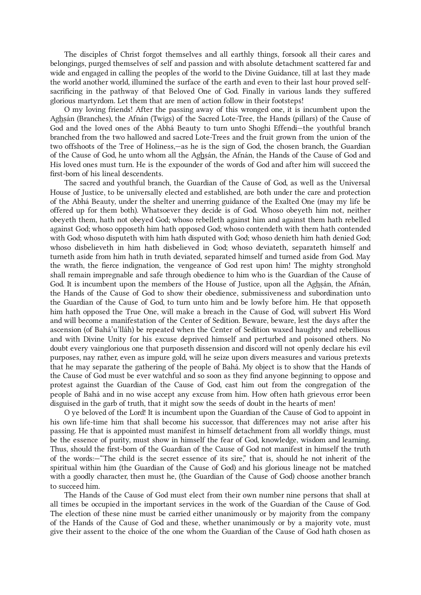The disciples of Christ forgot themselves and all earthly things, forsook all their cares and belongings, purged themselves of self and passion and with absolute detachment scattered far and wide and engaged in calling the peoples of the world to the Divine Guidance, till at last they made the world another world, illumined the surface of the earth and even to their last hour proved selfsacrificing in the pathway of that Beloved One of God. Finally in various lands they suffered glorious martyrdom. Let them that are men of action follow in their footsteps!

O my loving friends! After the passing away of this wronged one, it is incumbent upon the Aghsán (Branches), the Afnán (Twigs) of the Sacred Lote-Tree, the Hands (pillars) of the Cause of God and the loved ones of the Abhá Beauty to turn unto Shoghi Effendi—the youthful branch branched from the two hallowed and sacred Lote-Trees and the fruit grown from the union of the two offshoots of the Tree of Holiness,—as he is the sign of God, the chosen branch, the Guardian of the Cause of God, he unto whom all the Aghsán, the Afnán, the Hands of the Cause of God and His loved ones must turn. He is the expounder of the words of God and after him will succeed the first-born of his lineal descendents.

The sacred and youthful branch, the Guardian of the Cause of God, as well as the Universal House of Justice, to be universally elected and established, are both under the care and protection of the Abhá Beauty, under the shelter and unerring guidance of the Exalted One (may my life be offered up for them both). Whatsoever they decide is of God. Whoso obeyeth him not, neither obeyeth them, hath not obeyed God; whoso rebelleth against him and against them hath rebelled against God; whoso opposeth him hath opposed God; whoso contendeth with them hath contended with God; whoso disputeth with him hath disputed with God; whoso denieth him hath denied God; whoso disbelieveth in him hath disbelieved in God; whoso deviateth, separateth himself and turneth aside from him hath in truth deviated, separated himself and turned aside from God. May the wrath, the fierce indignation, the vengeance of God rest upon him! The mighty stronghold shall remain impregnable and safe through obedience to him who is the Guardian of the Cause of God. It is incumbent upon the members of the House of Justice, upon all the Aghsán, the Afnán, the Hands of the Cause of God to show their obedience, submissiveness and subordination unto the Guardian of the Cause of God, to turn unto him and be lowly before him. He that opposeth him hath opposed the True One, will make a breach in the Cause of God, will subvert His Word and will become a manifestation of the Center of Sedition. Beware, beware, lest the days after the ascension (of Bahá'u'lláh) be repeated when the Center of Sedition waxed haughty and rebellious and with Divine Unity for his excuse deprived himself and perturbed and poisoned others. No doubt every vainglorious one that purposeth dissension and discord will not openly declare his evil purposes, nay rather, even as impure gold, will he seize upon divers measures and various pretexts that he may separate the gathering of the people of Bahá. My object is to show that the Hands of the Cause of God must be ever watchful and so soon as they find anyone beginning to oppose and protest against the Guardian of the Cause of God, cast him out from the congregation of the people of Bahá and in no wise accept any excuse from him. How often hath grievous error been disguised in the garb of truth, that it might sow the seeds of doubt in the hearts of men!

O ye beloved of the Lord! It is incumbent upon the Guardian of the Cause of God to appoint in his own life-time him that shall become his successor, that differences may not arise after his passing. He that is appointed must manifest in himself detachment from all worldly things, must be the essence of purity, must show in himself the fear of God, knowledge, wisdom and learning. Thus, should the first-born of the Guardian of the Cause of God not manifest in himself the truth of the words:—"The child is the secret essence of its sire," that is, should he not inherit of the spiritual within him (the Guardian of the Cause of God) and his glorious lineage not be matched with a goodly character, then must he, (the Guardian of the Cause of God) choose another branch to succeed him.

The Hands of the Cause of God must elect from their own number nine persons that shall at all times be occupied in the important services in the work of the Guardian of the Cause of God. The election of these nine must be carried either unanimously or by majority from the company of the Hands of the Cause of God and these, whether unanimously or by a majority vote, must give their assent to the choice of the one whom the Guardian of the Cause of God hath chosen as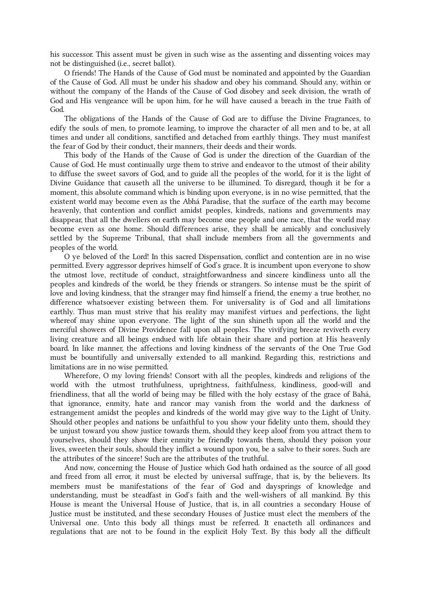his successor. This assent must be given in such wise as the assenting and dissenting voices may not be distinguished (i.e., secret ballot).

O friends! The Hands of the Cause of God must be nominated and appointed by the Guardian of the Cause of God. All must be under his shadow and obey his command. Should any, within or without the company of the Hands of the Cause of God disobey and seek division, the wrath of God and His vengeance will be upon him, for he will have caused a breach in the true Faith of God.

The obligations of the Hands of the Cause of God are to diffuse the Divine Fragrances, to edify the souls of men, to promote learning, to improve the character of all men and to be, at all times and under all conditions, sanctified and detached from earthly things. They must manifest the fear of God by their conduct, their manners, their deeds and their words.

This body of the Hands of the Cause of God is under the direction of the Guardian of the Cause of God. He must continually urge them to strive and endeavor to the utmost of their ability to diffuse the sweet savors of God, and to guide all the peoples of the world, for it is the light of Divine Guidance that causeth all the universe to be illumined. To disregard, though it be for a moment, this absolute command which is binding upon everyone, is in no wise permitted, that the existent world may become even as the Abhá Paradise, that the surface of the earth may become heavenly, that contention and conflict amidst peoples, kindreds, nations and governments may disappear, that all the dwellers on earth may become one people and one race, that the world may become even as one home. Should differences arise, they shall be amicably and conclusively settled by the Supreme Tribunal, that shall include members from all the governments and peoples of the world.

O ye beloved of the Lord! In this sacred Dispensation, conflict and contention are in no wise permitted. Every aggressor deprives himself of God's grace. It is incumbent upon everyone to show the utmost love, rectitude of conduct, straightforwardness and sincere kindliness unto all the peoples and kindreds of the world, be they friends or strangers. So intense must be the spirit of love and loving kindness, that the stranger may find himself a friend, the enemy a true brother, no difference whatsoever existing between them. For universality is of God and all limitations earthly. Thus man must strive that his reality may manifest virtues and perfections, the light whereof may shine upon everyone. The light of the sun shineth upon all the world and the merciful showers of Divine Providence fall upon all peoples. The vivifying breeze reviveth every living creature and all beings endued with life obtain their share and portion at His heavenly board. In like manner, the affections and loving kindness of the servants of the One True God must be bountifully and universally extended to all mankind. Regarding this, restrictions and limitations are in no wise permitted.

Wherefore, O my loving friends! Consort with all the peoples, kindreds and religions of the world with the utmost truthfulness, uprightness, faithfulness, kindliness, good-will and friendliness, that all the world of being may be filled with the holy ecstasy of the grace of Bahá, that ignorance, enmity, hate and rancor may vanish from the world and the darkness of estrangement amidst the peoples and kindreds of the world may give way to the Light of Unity. Should other peoples and nations be unfaithful to you show your fidelity unto them, should they be unjust toward you show justice towards them, should they keep aloof from you attract them to yourselves, should they show their enmity be friendly towards them, should they poison your lives, sweeten their souls, should they inflict a wound upon you, be a salve to their sores. Such are the attributes of the sincere! Such are the attributes of the truthful.

And now, concerning the House of Justice which God hath ordained as the source of all good and freed from all error, it must be elected by universal suffrage, that is, by the believers. Its members must be manifestations of the fear of God and daysprings of knowledge and understanding, must be steadfast in God's faith and the well-wishers of all mankind. By this House is meant the Universal House of Justice, that is, in all countries a secondary House of Justice must be instituted, and these secondary Houses of Justice must elect the members of the Universal one. Unto this body all things must be referred. It enacteth all ordinances and regulations that are not to be found in the explicit Holy Text. By this body all the difficult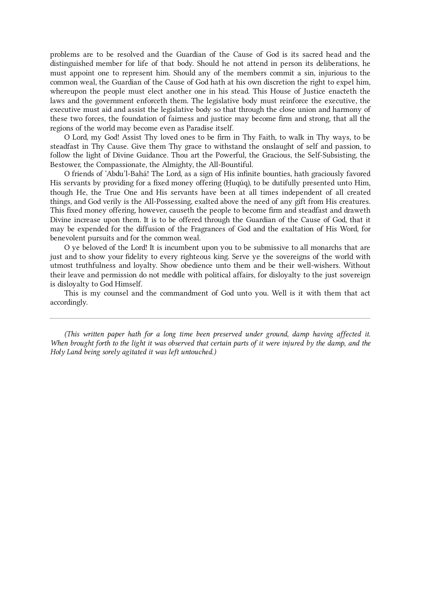problems are to be resolved and the Guardian of the Cause of God is its sacred head and the distinguished member for life of that body. Should he not attend in person its deliberations, he must appoint one to represent him. Should any of the members commit a sin, injurious to the common weal, the Guardian of the Cause of God hath at his own discretion the right to expel him, whereupon the people must elect another one in his stead. This House of Justice enacteth the laws and the government enforceth them. The legislative body must reinforce the executive, the executive must aid and assist the legislative body so that through the close union and harmony of these two forces, the foundation of fairness and justice may become firm and strong, that all the regions of the world may become even as Paradise itself.

O Lord, my God! Assist Thy loved ones to be firm in Thy Faith, to walk in Thy ways, to be steadfast in Thy Cause. Give them Thy grace to withstand the onslaught of self and passion, to follow the light of Divine Guidance. Thou art the Powerful, the Gracious, the Self-Subsisting, the Bestower, the Compassionate, the Almighty, the All-Bountiful.

O friends of 'Abdu'l‑Bahá! The Lord, as a sign of His infinite bounties, hath graciously favored His servants by providing for a fixed money offering (Ḥuqúq), to be dutifully presented unto Him, though He, the True One and His servants have been at all times independent of all created things, and God verily is the All-Possessing, exalted above the need of any gift from His creatures. This fixed money offering, however, causeth the people to become firm and steadfast and draweth Divine increase upon them. It is to be offered through the Guardian of the Cause of God, that it may be expended for the diffusion of the Fragrances of God and the exaltation of His Word, for benevolent pursuits and for the common weal.

O ye beloved of the Lord! It is incumbent upon you to be submissive to all monarchs that are just and to show your fidelity to every righteous king. Serve ye the sovereigns of the world with utmost truthfulness and loyalty. Show obedience unto them and be their well-wishers. Without their leave and permission do not meddle with political affairs, for disloyalty to the just sovereign is disloyalty to God Himself.

This is my counsel and the commandment of God unto you. Well is it with them that act accordingly.

(This written paper hath for a long time been preserved under ground, damp having affected it. When brought forth to the light it was observed that certain parts of it were injured by the damp, and the Holy Land being sorely agitated it was left untouched.)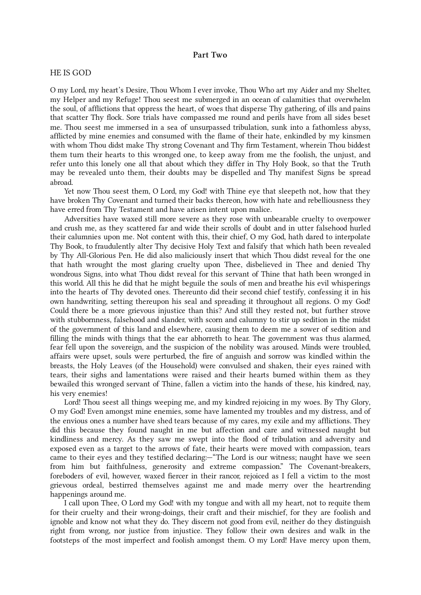## Part Two

#### HE IS GOD

O my Lord, my heart's Desire, Thou Whom I ever invoke, Thou Who art my Aider and my Shelter, my Helper and my Refuge! Thou seest me submerged in an ocean of calamities that overwhelm the soul, of afflictions that oppress the heart, of woes that disperse Thy gathering, of ills and pains that scatter Thy flock. Sore trials have compassed me round and perils have from all sides beset me. Thou seest me immersed in a sea of unsurpassed tribulation, sunk into a fathomless abyss, afflicted by mine enemies and consumed with the flame of their hate, enkindled by my kinsmen with whom Thou didst make Thy strong Covenant and Thy firm Testament, wherein Thou biddest them turn their hearts to this wronged one, to keep away from me the foolish, the unjust, and refer unto this lonely one all that about which they differ in Thy Holy Book, so that the Truth may be revealed unto them, their doubts may be dispelled and Thy manifest Signs be spread abroad.

Yet now Thou seest them, O Lord, my God! with Thine eye that sleepeth not, how that they have broken Thy Covenant and turned their backs thereon, how with hate and rebelliousness they have erred from Thy Testament and have arisen intent upon malice.

Adversities have waxed still more severe as they rose with unbearable cruelty to overpower and crush me, as they scattered far and wide their scrolls of doubt and in utter falsehood hurled their calumnies upon me. Not content with this, their chief, O my God, hath dared to interpolate Thy Book, to fraudulently alter Thy decisive Holy Text and falsify that which hath been revealed by Thy All-Glorious Pen. He did also maliciously insert that which Thou didst reveal for the one that hath wrought the most glaring cruelty upon Thee, disbelieved in Thee and denied Thy wondrous Signs, into what Thou didst reveal for this servant of Thine that hath been wronged in this world. All this he did that he might beguile the souls of men and breathe his evil whisperings into the hearts of Thy devoted ones. Thereunto did their second chief testify, confessing it in his own handwriting, setting thereupon his seal and spreading it throughout all regions. O my God! Could there be a more grievous injustice than this? And still they rested not, but further strove with stubbornness, falsehood and slander, with scorn and calumny to stir up sedition in the midst of the government of this land and elsewhere, causing them to deem me a sower of sedition and filling the minds with things that the ear abhorreth to hear. The government was thus alarmed, fear fell upon the sovereign, and the suspicion of the nobility was aroused. Minds were troubled, affairs were upset, souls were perturbed, the fire of anguish and sorrow was kindled within the breasts, the Holy Leaves (of the Household) were convulsed and shaken, their eyes rained with tears, their sighs and lamentations were raised and their hearts burned within them as they bewailed this wronged servant of Thine, fallen a victim into the hands of these, his kindred, nay, his very enemies!

Lord! Thou seest all things weeping me, and my kindred rejoicing in my woes. By Thy Glory, O my God! Even amongst mine enemies, some have lamented my troubles and my distress, and of the envious ones a number have shed tears because of my cares, my exile and my afflictions. They did this because they found naught in me but affection and care and witnessed naught but kindliness and mercy. As they saw me swept into the flood of tribulation and adversity and exposed even as a target to the arrows of fate, their hearts were moved with compassion, tears came to their eyes and they testified declaring:—"The Lord is our witness; naught have we seen from him but faithfulness, generosity and extreme compassion." The Covenant-breakers, foreboders of evil, however, waxed fiercer in their rancor, rejoiced as I fell a victim to the most grievous ordeal, bestirred themselves against me and made merry over the heartrending happenings around me.

I call upon Thee, O Lord my God! with my tongue and with all my heart, not to requite them for their cruelty and their wrong-doings, their craft and their mischief, for they are foolish and ignoble and know not what they do. They discern not good from evil, neither do they distinguish right from wrong, nor justice from injustice. They follow their own desires and walk in the footsteps of the most imperfect and foolish amongst them. O my Lord! Have mercy upon them,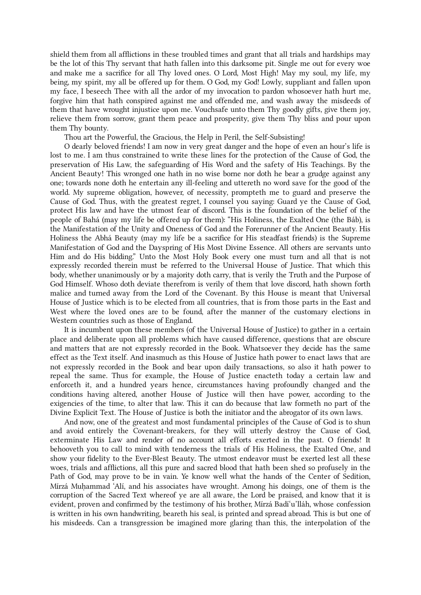shield them from all afflictions in these troubled times and grant that all trials and hardships may be the lot of this Thy servant that hath fallen into this darksome pit. Single me out for every woe and make me a sacrifice for all Thy loved ones. O Lord, Most High! May my soul, my life, my being, my spirit, my all be offered up for them. O God, my God! Lowly, suppliant and fallen upon my face, I beseech Thee with all the ardor of my invocation to pardon whosoever hath hurt me, forgive him that hath conspired against me and offended me, and wash away the misdeeds of them that have wrought injustice upon me. Vouchsafe unto them Thy goodly gifts, give them joy, relieve them from sorrow, grant them peace and prosperity, give them Thy bliss and pour upon them Thy bounty.

Thou art the Powerful, the Gracious, the Help in Peril, the Self-Subsisting!

O dearly beloved friends! I am now in very great danger and the hope of even an hour's life is lost to me. I am thus constrained to write these lines for the protection of the Cause of God, the preservation of His Law, the safeguarding of His Word and the safety of His Teachings. By the Ancient Beauty! This wronged one hath in no wise borne nor doth he bear a grudge against any one; towards none doth he entertain any ill-feeling and uttereth no word save for the good of the world. My supreme obligation, however, of necessity, prompteth me to guard and preserve the Cause of God. Thus, with the greatest regret, I counsel you saying: Guard ye the Cause of God, protect His law and have the utmost fear of discord. This is the foundation of the belief of the people of Bahá (may my life be offered up for them): "His Holiness, the Exalted One (the Báb), is the Manifestation of the Unity and Oneness of God and the Forerunner of the Ancient Beauty. His Holiness the Abhá Beauty (may my life be a sacrifice for His steadfast friends) is the Supreme Manifestation of God and the Dayspring of His Most Divine Essence. All others are servants unto Him and do His bidding." Unto the Most Holy Book every one must turn and all that is not expressly recorded therein must be referred to the Universal House of Justice. That which this body, whether unanimously or by a majority doth carry, that is verily the Truth and the Purpose of God Himself. Whoso doth deviate therefrom is verily of them that love discord, hath shown forth malice and turned away from the Lord of the Covenant. By this House is meant that Universal House of Justice which is to be elected from all countries, that is from those parts in the East and West where the loved ones are to be found, after the manner of the customary elections in Western countries such as those of England.

It is incumbent upon these members (of the Universal House of Justice) to gather in a certain place and deliberate upon all problems which have caused difference, questions that are obscure and matters that are not expressly recorded in the Book. Whatsoever they decide has the same effect as the Text itself. And inasmuch as this House of Justice hath power to enact laws that are not expressly recorded in the Book and bear upon daily transactions, so also it hath power to repeal the same. Thus for example, the House of Justice enacteth today a certain law and enforceth it, and a hundred years hence, circumstances having profoundly changed and the conditions having altered, another House of Justice will then have power, according to the exigencies of the time, to alter that law. This it can do because that law formeth no part of the Divine Explicit Text. The House of Justice is both the initiator and the abrogator of its own laws.

And now, one of the greatest and most fundamental principles of the Cause of God is to shun and avoid entirely the Covenant-breakers, for they will utterly destroy the Cause of God, exterminate His Law and render of no account all efforts exerted in the past. O friends! It behooveth you to call to mind with tenderness the trials of His Holiness, the Exalted One, and show your fidelity to the Ever-Blest Beauty. The utmost endeavor must be exerted lest all these woes, trials and afflictions, all this pure and sacred blood that hath been shed so profusely in the Path of God, may prove to be in vain. Ye know well what the hands of the Center of Sedition, Mírzá Muhammad 'Alí, and his associates have wrought. Among his doings, one of them is the corruption of the Sacred Text whereof ye are all aware, the Lord be praised, and know that it is evident, proven and confirmed by the testimony of his brother, Mírzá Badí'u'lláh, whose confession is written in his own handwriting, beareth his seal, is printed and spread abroad. This is but one of his misdeeds. Can a transgression be imagined more glaring than this, the interpolation of the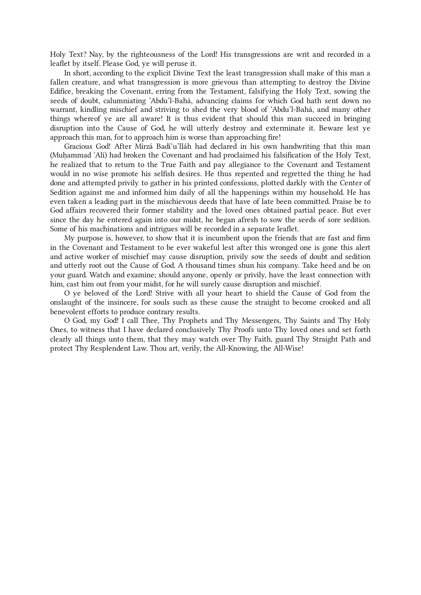Holy Text? Nay, by the righteousness of the Lord! His transgressions are writ and recorded in a leaflet by itself. Please God, ye will peruse it.

In short, according to the explicit Divine Text the least transgression shall make of this man a fallen creature, and what transgression is more grievous than attempting to destroy the Divine Edifice, breaking the Covenant, erring from the Testament, falsifying the Holy Text, sowing the seeds of doubt, calumniating 'Abdu'l-Bahá, advancing claims for which God hath sent down no warrant, kindling mischief and striving to shed the very blood of 'Abdu'l-Bahá, and many other things whereof ye are all aware! It is thus evident that should this man succeed in bringing disruption into the Cause of God, he will utterly destroy and exterminate it. Beware lest ye approach this man, for to approach him is worse than approaching fire!

Gracious God! After Mírzá Badí'u'lláh had declared in his own handwriting that this man (Muhammad 'Alí) had broken the Covenant and had proclaimed his falsification of the Holy Text, he realized that to return to the True Faith and pay allegiance to the Covenant and Testament would in no wise promote his selfish desires. He thus repented and regretted the thing he had done and attempted privily to gather in his printed confessions, plotted darkly with the Center of Sedition against me and informed him daily of all the happenings within my household. He has even taken a leading part in the mischievous deeds that have of late been committed. Praise be to God affairs recovered their former stability and the loved ones obtained partial peace. But ever since the day he entered again into our midst, he began afresh to sow the seeds of sore sedition. Some of his machinations and intrigues will be recorded in a separate leaflet.

My purpose is, however, to show that it is incumbent upon the friends that are fast and firm in the Covenant and Testament to be ever wakeful lest after this wronged one is gone this alert and active worker of mischief may cause disruption, privily sow the seeds of doubt and sedition and utterly root out the Cause of God. A thousand times shun his company. Take heed and be on your guard. Watch and examine; should anyone, openly or privily, have the least connection with him, cast him out from your midst, for he will surely cause disruption and mischief.

O ye beloved of the Lord! Strive with all your heart to shield the Cause of God from the onslaught of the insincere, for souls such as these cause the straight to become crooked and all benevolent efforts to produce contrary results.

O God, my God! I call Thee, Thy Prophets and Thy Messengers, Thy Saints and Thy Holy Ones, to witness that I have declared conclusively Thy Proofs unto Thy loved ones and set forth clearly all things unto them, that they may watch over Thy Faith, guard Thy Straight Path and protect Thy Resplendent Law. Thou art, verily, the All-Knowing, the All-Wise!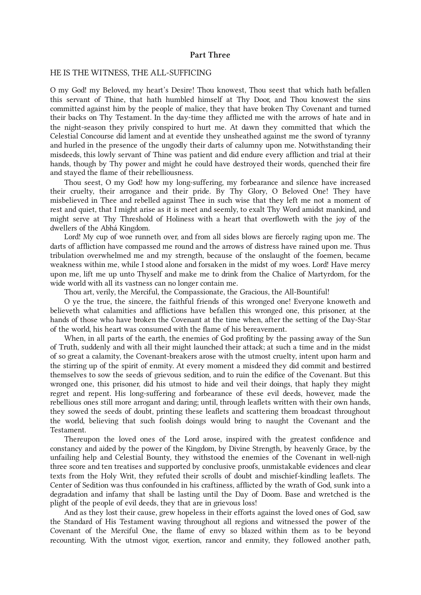## Part Three

## HE IS THE WITNESS, THE ALL-SUFFICING

O my God! my Beloved, my heart's Desire! Thou knowest, Thou seest that which hath befallen this servant of Thine, that hath humbled himself at Thy Door, and Thou knowest the sins committed against him by the people of malice, they that have broken Thy Covenant and turned their backs on Thy Testament. In the day-time they afflicted me with the arrows of hate and in the night-season they privily conspired to hurt me. At dawn they committed that which the Celestial Concourse did lament and at eventide they unsheathed against me the sword of tyranny and hurled in the presence of the ungodly their darts of calumny upon me. Notwithstanding their misdeeds, this lowly servant of Thine was patient and did endure every affliction and trial at their hands, though by Thy power and might he could have destroyed their words, quenched their fire and stayed the flame of their rebelliousness.

Thou seest, O my God! how my long-suffering, my forbearance and silence have increased their cruelty, their arrogance and their pride. By Thy Glory, O Beloved One! They have misbelieved in Thee and rebelled against Thee in such wise that they left me not a moment of rest and quiet, that I might arise as it is meet and seemly, to exalt Thy Word amidst mankind, and might serve at Thy Threshold of Holiness with a heart that overfloweth with the joy of the dwellers of the Abhá Kingdom.

Lord! My cup of woe runneth over, and from all sides blows are fiercely raging upon me. The darts of affliction have compassed me round and the arrows of distress have rained upon me. Thus tribulation overwhelmed me and my strength, because of the onslaught of the foemen, became weakness within me, while I stood alone and forsaken in the midst of my woes. Lord! Have mercy upon me, lift me up unto Thyself and make me to drink from the Chalice of Martyrdom, for the wide world with all its vastness can no longer contain me.

Thou art, verily, the Merciful, the Compassionate, the Gracious, the All-Bountiful!

O ye the true, the sincere, the faithful friends of this wronged one! Everyone knoweth and believeth what calamities and afflictions have befallen this wronged one, this prisoner, at the hands of those who have broken the Covenant at the time when, after the setting of the Day-Star of the world, his heart was consumed with the flame of his bereavement.

When, in all parts of the earth, the enemies of God profiting by the passing away of the Sun of Truth, suddenly and with all their might launched their attack; at such a time and in the midst of so great a calamity, the Covenant-breakers arose with the utmost cruelty, intent upon harm and the stirring up of the spirit of enmity. At every moment a misdeed they did commit and bestirred themselves to sow the seeds of grievous sedition, and to ruin the edifice of the Covenant. But this wronged one, this prisoner, did his utmost to hide and veil their doings, that haply they might regret and repent. His long-suffering and forbearance of these evil deeds, however, made the rebellious ones still more arrogant and daring; until, through leaflets written with their own hands, they sowed the seeds of doubt, printing these leaflets and scattering them broadcast throughout the world, believing that such foolish doings would bring to naught the Covenant and the Testament.

Thereupon the loved ones of the Lord arose, inspired with the greatest confidence and constancy and aided by the power of the Kingdom, by Divine Strength, by heavenly Grace, by the unfailing help and Celestial Bounty, they withstood the enemies of the Covenant in well-nigh three score and ten treatises and supported by conclusive proofs, unmistakable evidences and clear texts from the Holy Writ, they refuted their scrolls of doubt and mischief-kindling leaflets. The Center of Sedition was thus confounded in his craftiness, afflicted by the wrath of God, sunk into a degradation and infamy that shall be lasting until the Day of Doom. Base and wretched is the plight of the people of evil deeds, they that are in grievous loss!

And as they lost their cause, grew hopeless in their efforts against the loved ones of God, saw the Standard of His Testament waving throughout all regions and witnessed the power of the Covenant of the Merciful One, the flame of envy so blazed within them as to be beyond recounting. With the utmost vigor, exertion, rancor and enmity, they followed another path,